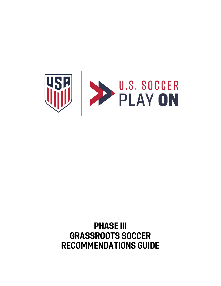

# **PHASE III GRASSROOTS SOCCER RECOMMENDATIONS GUIDE**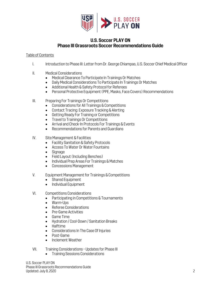

# **U.S. Soccer PLAY ON Phase III Grassroots Soccer Recommendations Guide**

# Table of Contents

- I. Introduction to Phase III: Letter from Dr. George Chiampas, U.S. Soccer Chief Medical Officer
- II. Medical Considerations
	- Medical Clearance To Participate In Trainings Or Matches
	- Daily Medical Considerations To Participate In Trainings Or Matches
	- Additional Health & Safety Protocol for Referees
	- Personal Protective Equipment (PPE, Masks, Face Covers) Recommendations
- III. Preparing For Trainings Or Competitions
	- Considerations for All Trainings & Competitions
	- Contact Tracing: Exposure Tracking & Alerting
	- Getting Ready For Training or Competitions
	- Travel to Trainings Or Competitions
	- Arrival and Check-In Protocols For Trainings & Events
	- Recommendations for Parents and Guardians
- IV. Site Management & Facilities
	- Facility Sanitation & Safety Protocols
	- Access To Water Or Water Fountains
	- Signage
	- Field Layout (Including Benches)
	- Individual Prep Areas For Trainings & Matches
	- Concessions Management
- V. Equipment Management for Trainings & Competitions
	- Shared Equipment
	- Individual Equipment
- VI. Competitions Considerations
	- Participating in Competitions & Tournaments
	- Warm-Ups
	- Referee Considerations
	- Pre-Game Activities
	- Game Time
	- Hydration / Cool-Down / Sanitation Breaks
	- Halftime
	- Considerations In The Case Of Injuries
	- Post-Game
	- Inclement Weather
- VII. Training Considerations Updates for Phase III
	- Training Sessions Considerations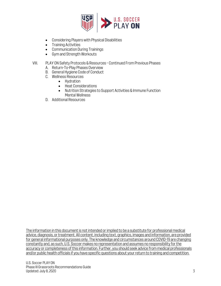

- Considering Players with Physical Disabilities
- Training Activities
- Communication During Trainings
- Gym and Strength Workouts

# VIII. PLAY ON Safety Protocols & Resources – Continued From Previous Phases

- A. Return-To-Play Phases Overview
- B. General Hygiene Code of Conduct
- C. Wellness Resources
	- Hydration
		- Heat Considerations
		- Nutrition Strategies to Support Activities & Immune Function Mental Wellness
- D. Additional Resources

The information in this document is not intended or implied to be a substitute for professional medical advice, diagnosis, or treatment. All content, including text, graphics, images and information, are provided for general informational purposes only. The knowledge and circumstances around COVID-19 are changing constantly and, as such, U.S. Soccer makes no representation and assumes no responsibility for the accuracy or completeness of this information. Further, you should seek advice from medical professionals and/or public health officials if you have specific questions about your return to training and competition.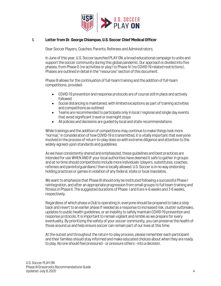

## **I. Letter from Dr. George Chiampas, U.S. Soccer Chief Medical Officer**

Dear Soccer Players, Coaches, Parents, Referees and Administrators,

In June of this year, U.S. Soccer launched PLAY ON, a broad educational campaign to unite and support the soccer community during this global pandemic. Our approach is divided into five phases, from Phase 0 (no activities or play) to Phase IV (no COVID-19 related restrictions). Phases are outlined in detail in the "resources" section of this document.

Phase III allows for the continuation of full-team training and the addition of full-team competitions, provided:

- COVID-19 prevention and response protocols are of course still in place and actively followed
- Social distancing is maintained, with limited exceptions as part of training activities and competitions as outlined
- Teams are recommended to participate only in local / regional and single day events that avoid significant travel or overnight stays
- All policies and decisions are guided by local and state recommendations

While trainings and the addition of competitions may continue to make things look more "normal," in consideration of how COVID-19 is transmitted, it is vitally important that everyone involved in the process of return-to-play does so with extreme diligence and attention to the widely-agreed-upon standards and guidelines.

As we have consistently shared and emphasized, these guidelines and best practices are intended for use WHEN AND IF your local authorities have deemed it safe to gather in groups and at no time should competitions include more individuals (players, substitutes, coaches, referees and parents/guardians) than is locally allowed. U.S. Soccer is in no way endorsing holding practices or games in violation of any federal, state or local mandates.

We want to emphasize that Phase III should only be instituted following a successful Phase I reintegration, and after an appropriate progression from small groups to full team training and fitness in Phase II. The suggested durations of Phase I and II are 4-6 weeks and 3-6weeks, respectively.

Regardless of which phase a Club is operating in, everyone should be prepared to take a step back and revert to an earlier phase if needed as a response to increased risk, cluster outbreaks, updates to public health guidelines, or an inability to safely maintain COVID-19 prevention and response protocols. It is important to remain vigilant and nimble as we prepare for every eventuality. By prioritizing the safety of your soccer community, you can preserve the health of those around us and help ensure soccer can remain part of our lives at this time.

At the outset and throughout the return-to-play process, please remember each participant and their families should stay informed and make educated choices about when they are ready to play. No one should feel pressured – or pressure others –into a decision.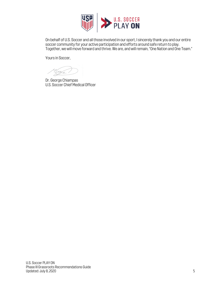

On behalf of U.S. Soccer and all those involved in our sport, I sincerely thank you and our entire soccer community for your active participation and efforts around safe return to play. Together, we will move forward and thrive. We are, and will remain, "One Nation and One Team."

Yours in Soccer,

'U

Dr. George Chiampas U.S. Soccer Chief Medical Officer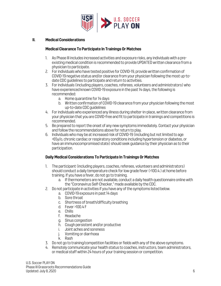

## **II. Medical Considerations**

#### **Medical Clearance To Participate In Trainings Or Matches**

- 1. As Phase III includes increased activities and exposure risks, any individuals with a preexisting medical condition is recommended to provide UPDATED written clearance from a physician to participate.
- 2. For individuals who have tested positive for COVID-19, provide written confirmation of COVID-19 negative status and/or clearance from your physician following the most up-todate CDC guidelines to participate and return to activities.
- 3. For individuals (including players, coaches, referees, volunteers and administrators) who have experienced known COVID-19 exposure in the past 14 days, the following is recommended:
	- a. Home quarantine for 14 days
	- b. Written confirmation of COVID-19 clearance from your physician following the most up-to-date CDC guidelines
- 4. For individuals who experienced any illness during shelter-in-place, written clearance from your physician that you are COVID-free and fit to participate in trainings and competitions is recommended.
- 5. Be prepared to report the onset of any new symptoms immediately. Contact your physician and follow the recommendations above for return to play.
- 6. Individuals who may be at increased risk of COVID-19 (including but not limited to age >65y/o, chronic cardiac or respiratory conditions including hypertension or diabetes, or have an immunocompromised state) should seek guidance by their physician as to their participation.

#### **Daily Medical Considerations To Participate In Trainings Or Matches**

- 1. The participant (including players, coaches, referees, volunteers and administrators) should conduct a daily temperature check for low grade fever (>100.4.) at home before training. If you have a fever, do not go to training.
	- a. If thermometers are not available, conduct a daily health questionnaire online with the "Coronavirus Self-Checker," made available by the CDC.
- 2. Do not participate in activities if you have any of the symptoms listed below.
	- a. COVID-19 exposure in past 14 days
	- b. Sore throat
	- c. Shortness of breath/difficulty breathing
	- d. Fever >100.4 F
	- e. Chills
	- f. Headache
	- g. Sinus congestion
	- h. Cough persistent and/or productive
	- i. Joint aches and soreness
	- j. Vomiting or diarrhoea
	- k. Rash
- 3. Do not go to training/competition facilities or fields with any of the above symptoms.
- 4. Remotely communicate your health status to coaches, instructors, team administrators, or medical staff within 24 hours of your training session or competition.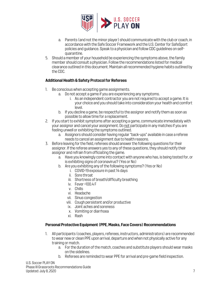

- a. Parents (and not the minor player) should communicate with the club or coach, in accordance with the Safe Soccer Framework and the U.S. Center for SafeSport policies and guidance. Speak to a physician and follow CDC guidelines on selfquarantine.
- 5. Should a member of your household be experiencing the symptoms above, the family member should consult a physician. Follow the recommendations listed for medical clearance outlined in this document. Maintain all recommended hygiene habits outlined by the CDC.

# **Additional Health & Safety Protocol for Referees**

- 1. Be conscious when accepting game assignments.
	- a. Do not accept a game if you are experiencing any symptoms.
		- i. As an independent contractor you are not required to accept a game. It is your choice and you should take into consideration your health and comfort level.
	- b. If you decline a game, be respectful to the assignor and notify them as soon as possible to allow time for a replacement.
- 2. If you start to exhibit symptoms after accepting a game, communicate immediately with your assignor and cancel your assignment. Do not participate in any matches if you are feeling unwell or exhibiting the symptoms outlined.
	- a. Assignors should consider having regular "back-ups" available in case a referee needs to cancel an assignment due to health reasons.
- 3. Before leaving for the field, referees should answer the following questions for their assignor. If the referee answers yes to any of these questions, they should notify their assignor and refrain from officiating the game.
	- a. Have you knowingly come into contact with anyone who has, is being tested for, or is exhibiting signs of coronavirus? (Yes or No)
	- b. Are you exhibiting any of the following symptoms? (Yes or No)
		- i. COVID-19 exposure in past 14 days
		- ii. Sore throat
		- iii. Shortness of breath/difficulty breathing
		- iv. Fever >100.4 F
		- v. Chills
		- vi. Headache
		- vii. Sinus congestion
		- viii. Cough persistent and/or productive
		- ix. Joint aches and soreness
		- x. Vomiting or diarrhoea
		- xi. Rash

#### **Personal Protective Equipment (PPE, Masks, Face Covers) Recommendations**

- 1. All participants (coaches, players, referees, instructors, administrators) are recommended to wear new or clean PPE upon arrival, departure and when not physically active for any training or match.
	- a. For the duration of the match, coaches and substitute players should wear masks on the sidelines.
	- b. Referees are reminded to wear PPE for arrival and pre-game field inspection.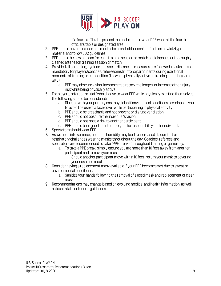

- i. If a fourth official is present, he or she should wear PPE while at the fourth official's table or designated area.
- 2. PPE should cover the nose and mouth, be breathable, consist of cotton or wick-type material and follow CDC guidelines.
- 3. PPE should be new or clean for each training session or match and disposed or thoroughly cleaned after each training session or match.
- 4. Provided all screening, hygiene and social distancing measures are followed, masks are not mandatory for players/coaches/referees/instructors/participants during exertional moments of training or competition (i.e. when physically active at training or during game play).
	- a. PPE may obscure vision, increase respiratory challenges, or increase other injury risk while being physically active.
- 5. For players, referees or staff who choose to wear PPE while physically exerting themselves, the following should be considered:
	- a. Discuss with your primary care physician if any medical conditions pre-dispose you to avoid the use of a face cover while participating in physical activity.
	- b. PPE should be breathable and not prevent or disrupt ventilation.
	- c. PPE should not obscure the individual's vision.
	- d. PPE should not pose a risk to another participant.
	- e. PPE should be in good maintenance, at the responsibility of the individual.
- 6. Spectators should wear PPE.
- 7. As we head into summer, heat and humidity may lead to increased discomfort or respiratory challenges wearing masks throughout the day. Coaches, referees and spectators are recommended to take "PPE breaks" throughout training or game day.
	- a. To take a PPE break, simply ensure you are more than 10 feet away from another participant and remove your mask.
		- i. Should another participant move within 10 feet, return your mask to covering your nose and mouth.
- 8. Consider having a replacement mask available if your PPE becomes wet due to sweat or environmental conditions.
	- a. Sanitize your hands following the removal of a used mask and replacement of clean mask.
- 9. Recommendations may change based on evolving medical and health information, as well as local, state or federal guidelines.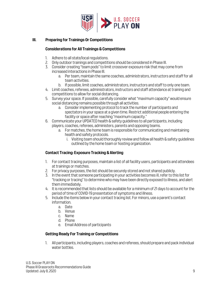

# **III. Preparing for Trainings Or Competitions**

## **Considerations for All Trainings & Competitions**

- 1. Adhere to all state/local regulations.
- 2. Only outdoor trainings and competitions should be considered in Phase III.
- 3. Consider creating "team pods" to limit crossover exposure risk that may come from increased interactions in Phase III.
	- a. Per team, maintain the same coaches, administrators, instructors and staff for all team activities.
	- b. If possible, limit coaches, administrators, instructors and staff to only one team.
- 4. Limit coaches, referees, administrators, instructors and staff attendance at training and competitions to allow for social distancing.
- 5. Survey your space. If possible, carefully consider what "maximum capacity" would ensure social distancing remains possible through all activities.
	- a. Consider implementing protocol to track the number of participants and spectators in your space at a given time. Restrict additional people entering the facility or space after reaching "maximum capacity."
- 6. Communicate your UPDATED health & safety guidelines to all participants, including players, coaches, referees, administers, parents and opposing teams.
	- a. For matches, the home team is responsible for communicating and maintaining health and safety protocols.
		- i. Visiting team should thoroughly review and follow all health & safety guidelines outlined by the home team or hosting organization.

# **Contact Tracing: Exposure Tracking & Alerting**

- 1. For contact tracing purposes, maintain a list of all facility users, participants and attendees at trainings or matches.
- 2. For privacy purposes, the list should be securely stored and not shared publicly.
- 3. In the event that someone participating in your activities becomes ill, refer to this list for "tracking or tracing" to determine who may have been directly exposed to illness, and alert them immediately.
- 4. It is recommended that lists should be available for a minimum of 21 days to account for the period of time of COVID-19 presentation of symptoms and illness.
- 5. Include the items below in your contact tracing list. For minors, use a parent's contact information.
	- a. Date
	- b. Venue
	- c. Name
	- d. Phone
	- e. Email Address of participants

# **Getting Ready For Training or Competitions**

1. All participants, including players, coaches and referees, should prepare and pack individual water bottles.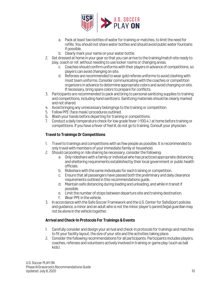

- a. Pack at least two bottles of water for training or matches, to limit the need for refills. You should not share water bottles and should avoid public water fountains if possible.
- b. Clearly mark your name on your water bottle.
- 2. Get dressed at home in your gear so that you can arrive to the training/match site ready to play, coach or ref, without needing to use locker rooms or changing areas.
	- c. Coaches should confirm uniforms with their players in advance of competitions, so players can avoid changing on site.
	- d. Referees are recommended to wear gold referee uniforms to avoid clashing with most team uniforms. Consider communicating with the coaches or competition organizers in advance to determine appropriate colors and avoid changing on site. If necessary, bring spare colors to prepare for conflicts.
- 3. Participants are recommended to pack and bring to personal sanitizing supplies to training and competitions, including hand sanitizers. Sanitizing materials should be clearly marked and not shared.
- 4. Avoid bringing any unnecessary belongings to the training or competition.
- 5. Follow PPE (face mask) procedures outlined.
- 6. Wash your hands before departing for training or competitions.
- 7. Conduct a daily temperature check for low grade fever (>100.4.) at home before training or competitions. If you have a fever of feel ill, do not go to training. Consult your physician.

# **Travel to Trainings Or Competitions**

- 1. Travel to trainings and competitions with as few people as possible. It is recommended to only travel with members of your immediate family or household.
- 2. Should carpooling or ride sharing be necessary, consider the following:
	- a. Only rideshare with a family or individual who has practiced appropriate distancing and sheltering requirements established by their local government or public health officials.
	- b. Rideshare with the same individuals for each training or competition.
	- c. Ensure that all passengers have passed both the preliminary and daily clearance requirements outlined in this recommendations guide.
	- d. Maintain safe distancing during loading and unloading, and while in transit if possible.
	- e. Limit the number of stops between departure site and training destination.
	- f. Wear PPE in the vehicle.
- 3. In accordance with the Safe Soccer Framework and the U.S. Center for SafeSport policies and guidance, a minor and an adult who is not the minor player's parent/legal guardianmay not be alone in the vehicle together.

# **Arrival and Check-In Protocols For Trainings & Events**

- 1. Carefully consider and design your arrival and check-in protocols for trainings and matches to fit your facility layout, the size of your site and the activities taking place.
- 2. Consider the following recommendations for all participants. Participants includes players, coaches, referees and volunteers actively involved in training or game play (such as ball kids).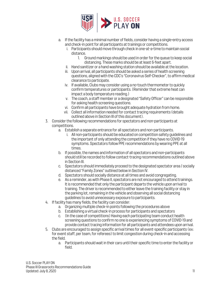

- a. If the facility has a minimal number of fields, consider having a single-entry access and check-in point for all participants at trainings or competitions.
	- i. Participants should move through check in one-at-a-time to maintain social distance.
		- 1. Ground markings should be used in order for the queue to keep social distancing. These marks should be at least 6-feet apart.
	- ii. Hand sanitizer or a hand washing station should be available at the location.
	- iii. Upon arrival, all participants should be asked a series of health screening questions, aligned with the CDC's "Coronavirus Self-Checker", to affirm medical clearance to participate.
	- iv. If available, Clubs may consider using a no-touch thermometer to quickly confirm temperatures or participants. (Reminder that extreme heat can impact a body temperature reading.)
	- v. The coach, a staff member or a designated "Safety Officer" can be responsible for asking health screening questions.
	- vi. Confirm all participants have brought adequate hydration from home.
	- vii. Collect all information needed for contact tracing requirements (details outlined above in Section III of this document).
- 3. Consider the following recommendations for spectators and non-participants at competitions.
	- a. Establish a separate entrance for all spectators and non-participants.
		- i. All non-participants should be educated on competition safety guidelines and the important of only attending the competition if they have no COVID-19 symptoms. Spectators follow PPE recommendations by wearing PPE at all times.
	- b. If possible, the names and information of all spectators and non-participants should still be recorded to follow contact-tracing recommendations outlined above in Section III.
	- c. Spectators should immediately proceed to the designated spectator area / socially distanced "Family Zones" outlined below in Section IV.
	- d. Spectators should socially distance at all times and avoid congregating.
	- e. As a reminder, as with Phase II, spectators are not encouraged to attend trainings. It is recommended that only the participant departs the vehicle upon arrival to training. The driver is recommended to either leave the training facility or stay in the parking lot, remaining in the vehicle and observing all social distancing guidelines to avoid unnecessary exposure to participants.
- 4. If facility has many fields, the facility can consider:
	- a. Organizing multiple check-in points following the procedures above
	- b. Establishing a virtual check-in process for participants and spectators
	- c. (In the case of competitions) Having each participating team conduct health screening questions to confirm no one is experiencing symptoms of COVID-19 and provide contact tracing information for all participants and attendees upon arrival.
- 5. Clubs are encouraged to assign specific arrival times for all event-specific participants (ex: for event staff, per team, for referees) to limit congestion during check-in and accessing the field.
	- a. Participants should wait in their cars until their specific time to enter the facility or field.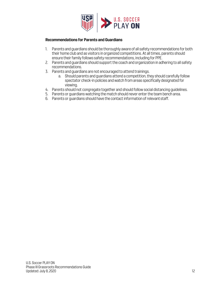

#### **Recommendations for Parents and Guardians**

- 1. Parents and guardians should be thoroughly aware of all safety recommendations for both their home club and as visitors in organized competitions. At all times, parents should ensure their family follows safety recommendations, including for PPE.
- 2. Parents and guardians should support the coach and organization in adhering to all safety recommendations.
- 3. Parents and guardians are not encouraged to attend trainings.
	- a. Should parents and guardians attend a competition, they should carefully follow spectator check-in policies and watch from areas specifically designated for viewing.
- 4. Parents should not congregate together and should follow social distancing guidelines.
- 5. Parents or guardians watching the match should never enter the team bench area.
- 6. Parents or guardians should have the contact information of relevantstaff.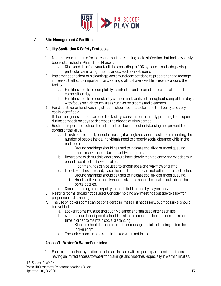

# **IV. Site Management & Facilities**

# **Facility Sanitation & Safety Protocols**

- 1. Maintain your schedule for increased, routine cleaning and disinfection that had previously been established in Phase I and Phase II.
	- a. Clean and disinfect your facilities according to CDC hygiene standards, paying particular care to high-traffic areas, such as restrooms.
- 2. Implement conscientious cleaning plans around competitions to prepare for and manage increased traffic. It's important for cleaning staff to have a visible presence around the facility.
	- a. Facilities should be completely disinfected and cleaned before and after each competition day.
	- b. Facilities should be constantly cleaned and sanitized throughout competition days with focus on high-touch areas such as restrooms and bleachers.
- 3. Hand sanitizer or hand washing stations should be located around the facility and very easily identifiable.
- 4. If there are gates or doors around the facility, consider permanently propping them open during competition days to decrease the chance of virus spread.
- 5. Restroom operations should be adjusted to allow for social distancing and prevent the spread of the virus.
	- a. If restroom is small, consider making it a single-occupant restroom or limiting the number of people inside. Individuals need to properly social distance while in the restroom.
		- i. Ground markings should be used to indicate socially distanced queuing. These marks should be at least 6-feet apart.
	- b. Restrooms with multiple doors should have clearly marked entry and exit doors in order to control the flow of traffic.
		- i. Floor markings can be used to encourage a one-way flow of traffic.
	- c. If porta-potties are used, place them so that doors are not adjacent to each other.
		- i. Ground markings should be used to indicate socially distanced queuing.
		- ii. Hand sanitizer or hand washing stations should be located outside of the porta-potties.
	- d. Consider adding a porta-potty for each field for use by players only.
- 6. Meeting rooms should not be used. Consider holding any meetings outside to allow for proper social distancing.
- 7. The use of locker rooms can be considered in Phase III if necessary, but if possible, should be avoided.
	- a. Locker rooms must be thoroughly cleaned and sanitized after each use.
	- b. A limited number of people should be able to access the locker room at a single time in order to maintain social distancing.
		- i. Signage should be considered to encourage social distancing inside the locker room.
	- c. The locker room should remain locked when not in use.

# **Access To Water Or Water Fountains**

1. Ensure appropriate hydration policies are in place with all participants and spectators having unlimited access to water for trainings and matches, especially in warm climates.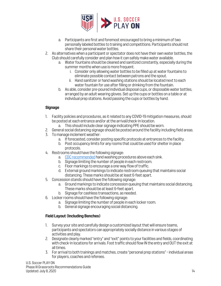

- a. Participants are first and foremost encouraged to bring a minimum of two personally labeled bottles to training and competitions. Participants should not share their personal water bottles.
- 2. As alternatives when a participant or spectator does not have their own water bottles, the Club should carefully consider and plan how it can safely make water available.
	- a. Water fountains should be cleaned and sanitized constantly, especially during the summer months when use is more frequent.
		- i. Consider only allowing water bottles to be filled up at water fountains to eliminate possible contact between patrons and the spout.
		- ii. Hand sanitizer or hand washing stations should be located next to each water fountain for use after filling or drinking from the fountain.
	- b. As able, consider pre-poured individual disposal cups, or disposable water bottles, arranged by an adult wearing gloves. Set up the cups or bottles on a table or at individual prep stations. Avoid passing the cups or bottles by hand.

# **Signage**

- 1. Facility policies and procedures, as it related to any COVID-19 mitigation measures, should be posted at each entrance and/or at the arrival/check-in location.
	- a. This should include clear signage indicating PPE should be worn.
- 2. General social distancing signage should be posted around the facility including field areas.
- 3. To manage inclement weather:
	- a. Ifforecasted, consider posting specific protocols at entrances to the facility.
	- b. Post occupancy limits for any rooms that could be used for shelter in place protocols.
- 4. Restrooms should have the following signage:
	- a. [CDC recommended](https://www.cdc.gov/handwashing/when-how-handwashing.html) hand washing procedures above each sink.
	- b. Signage limiting the number of people in each restroom.
	- c. Floor markings to encourage a one-way flow of traffic.
	- d. External ground markings to indicate restroom queuing that maintains social distancing. These marks should be at least 6-feet apart.
- 5. Concession stands should have the following signage:
	- a. Ground markings to indicate concession queuing that maintains social distancing. These marks should be at least 6-feet apart.
	- b. Signage for cashless transactions, as needed.
- 6. Locker rooms should have the following signage:
	- a. Signage limiting the number of people in each locker room.
	- b. General signage encouraging social distancing.

# **Field Layout(Including Benches)**

- 1. Survey your site and carefully design a customized layout that will ensure teams, participants and spectators can appropriately socially distance in various stages of activities and play.
- 2. Designate clearly marked "entry" and "exit" points to your facilities and fields, coordinating with check-in locations for arrivals. Foot traffic should flow IN the entry and OUT the exit at all times.
- 3. For arrival to both trainings and matches, create "personal prep stations" –individual areas for players, coaches and referees.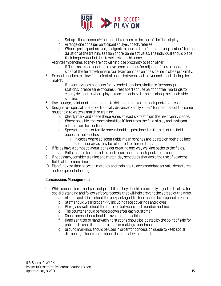

- a. Set up a line of cones 6-feet apart in an area to the side of the field of play.
- b. Arrange one cone per participant (player, coach, referee)
- c. When a participant arrives, designate a cone as their "personal prep station" for the duration of the training session or pre-game activities. The individual should place their bags, water bottles, towels, etc. at this cone.
- 4. Align team benches so they are not within close proximity to each other.
	- a. If fields are close together, move team benches for adjacent fields to opposite sides of the field to eliminate four team benches on one sideline in close proximity.
- 5. Expand benches to allow for six feet of space between each player and coach during the match.
	- a. If inventory does not allow for extended benches, similar to "personal prep stations," create a line of cones 6-feet apart (or use paint or other markings to clearly delineate) where players can sit socially distanced along the bench-side sideline.
- 6. Use signage, paint or other markings to delineate team areas and spectator areas.
- 7. Designate a spectator area with socially distance "Family Zones" for members of the same household to watch a match or training.
	- a. Clearly mark and space these zones at least six feet from the next family's zone.
	- b. Where possible, the zones should be 10 feet from the field of play and assistant referees on the sidelines.
	- c. Spectator areas or family zones should be positioned on the side of the field opposite the benches.
		- i. In cases where adjacent fields mean benches are located on both sidelines, spectator areas may be relocated to the end lines.
- 8. If fields have a compact layout, consider creating one-way walking paths to the fields. a. Paths should be created for both team benches and spectator areas.
- 9. If necessary, consider training and match-day schedules that avoid the use of adjacent fields at the same time.
- 10. Plan for extra time between matches and trainings to accommodate arrivals, departures, and equipment cleaning.

# **Concessions Management**

- 1. While concession stands are not prohibited, they should be carefully adjusted to allow for social distancing and follow safety protocols that will help prevent the spread of the virus.
	- a. All food and drinks should be pre-packaged. No food should be prepared on-site.
	- b. Staff should wear proper PPE including face coverings and gloves.
	- c. Plexiglass walls should be installed between staff member and line.
	- d. The counter should be wiped down after each customer.
	- e. Cash transactions should be avoided, if possible.
	- f. Hand sanitizer or hand washing stations should be located by the point of sale for patrons to use either before or after making a purchase.
	- g. Ground markings should be used in order for concession queue to keep social distancing. These marks should be at least 6-feet apart.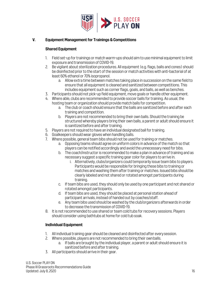

# **V. Equipment Management for Trainings & Competitions**

## **Shared Equipment**

- 1. Field set-up for trainings or match warm-ups should aim to use minimal equipment to limit exposure and transmission of COVID-19.
- 2. Be vigilant about sterilization procedures. All equipment (e.g. flags, balls and cones) should be disinfected prior to the start of the session or match activities with anti-bacterial of at least 60% ethanol or 70% isopropanol.
	- a. Allow extra time between matches taking place in succession on the same field to ensure that all equipment is cleaned and sanitized between competitions. This includes equipment such as corner flags, goals, and balls, as well as benches.
- 3. Participants should not pick-up field equipment, move goals or handle other equipment.
- 4. Where able, clubs are recommended to provide soccer balls for training. As usual, the hosting team or organization should provide match balls for competition.
	- a. The club or coach should ensure that the balls are sanitized before and after each training and competition.
	- b. Players are not recommended to bring their own balls. Should the training be structured whereby players bring their own balls, a parent or adult should ensure it is sanitized before and after training.
- 5. Players are not required to have an individual designated ball for training.
- 6. Goalkeepers should wear gloves when handling balls.
- 7. Where possible, general team bibs should not be used for training or matches.
	- a. Opposing teams should agree on uniform colors in advance of the match so that players can be notified accordingly and avoid the unnecessary need for bibs.
	- b. The coach/instructor is recommended to make a plan in advance of training and as necessary suggest a specific training gear color for players to arrive in.
		- i. Alternatively, clubs/organizers could temporarily issue team bibs to players. Participants would be responsible for bringing these bibs to training or matches and washing them after training or matches. Issued bibs should be clearly labeled and not shared or rotated amongst participants during training.
	- c. If team bibs are used, they should only be used by one participant and not shared or rotated amongst participants.
	- d. If team bibs are used, they should be placed at personal station ahead of participant arrivals, instead of handed out by coaches/staff.
	- e. Any team bibs used should be washed by the club/organizers afterwards in order to decrease the transmission of COVID-19.
- 8. It is not recommended to use shared or team cold tubs for recovery sessions. Players should consider using bathtubs at home for cold tub soak.

# **Individual Equipment**

- 1. All individual training gear should be cleaned and disinfected after everysession.
- 2. Where possible, players are not recommended to bring their ownballs.
	- a. If balls are brought by the individual player, a parent or adult should ensure it is sanitized before and after training.
- 3. All participants should arrive in their gear.

U.S. Soccer PLAY ON Phase III Grassroots Recommendations Guide Updated: July 8, 2020 16 Publishers and the Updated: July 8, 2020 16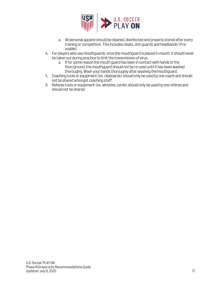

- a. All personal apparel should be cleaned, disinfected and properly stored after every training or competition. This includes cleats, shin guards and headbands (ifreusable).
- 4. For players who use mouthguards, once the mouthguard is placed in mouth, it should never be taken out during practice to limit the transmission of virus.
	- a. If for some reason the mouth guard has been in contact with hands or the floor/ground, the mouthguard should not be re-used until it has been washed thoroughly. Wash your hands thoroughly after washing themouthguard.
- 5. Coaching tools or equipment (ex. clipboards) should only be used by one coach and should not be shared amongst coaching staff.
- 6. Referee tools or equipment (ex. whistles, cards) should only be used by one referee and should not be shared.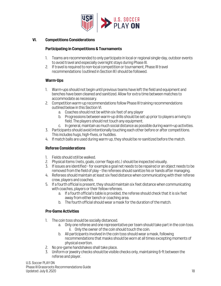

## **VI. Competitions Considerations**

## **Participating in Competitions & Tournaments**

- 1. Teams are recommended to only participate in local or regional single-day, outdoor events to avoid travel and especially overnight stays during Phase III.
- 2. If travel is required to non-local competition or tournament, Phase III travel recommendations (outlined in Section III) should be followed.

## **Warm-Ups**

- 1. Warm-ups should not begin until previous teams have left the field and equipment and benches have been cleaned and sanitized. Allow for extra time between matches to accommodate as necessary.
- 2. Competition warm-up recommendations follow Phase III training recommendations outlined belowin this Section VI.
	- a. Coaches should not be within six feet of any player
	- b. Progressions between warm-up drills should be set up prior to players arriving to field. The players should not touch any equipment.
	- c. In general, maintain as much social distance as possible during warm-up activities.
- 3. Participants should avoid intentionally touching each other before or after competitions. This includes hugs, high-fives, or huddles.
- 4. If match balls are used during warm-up, they should be re-sanitized before the match.

# **Referee Considerations**

- 1. Fields should still be walked.
- 2. Physical items (nets, goals, corner flags etc.) should be inspected visually.
- 3. If issues are identified –for example a goal net needs to be repaired or an object needs to be removed from the field of play - the referees should sanitize his or hands after managing.
- 4. Referees should maintain at least six feed distance when communicating with their referee crew, players and coaches.
- 5. If a fourth official is present, they should maintain six feet distance when communicating with coaches, players or their fellow referees.
	- a. If a fourth official's table is provided, the referee should check that it is six feet away from either bench or coaching area.
	- b. The fourth official should wear a mask for the duration of the match.

# **Pre-Game Activities**

- 1. The coin toss should be socially distanced.
	- a. Only one referee and one representative per team should take part in the coin toss. ii. Only the owner of the coin should touch the coin.
	- b. All participants involved in the coin toss should wear a mask, following recommendations that masks should be worn at all times excepting moments of physical exertion.
- 2. No pre-game handshakes shall take place.
- 3. Uniform or jewelry checks should be visible checks only, maintaining 6-ft between the referee and player.

U.S. Soccer PLAY ON Phase III Grassroots Recommendations Guide Updated: July 8, 2020 18 Publishers and the Updated: July 8, 2020 18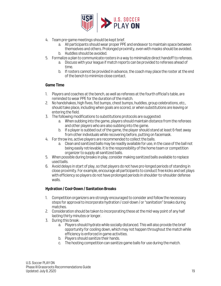

- 4. Team pre-game meetings should be kept brief.
	- a. All participants should wear proper PPE and endeavor to maintain space between themselves and others. Prolonged proximity, even with masks should be avoided. b. Huddles should be avoided.
- 5. Formalize a plan to communicate rosters in a way to minimalize direct handoff to referees.
	- a. Discuss with your league if match reports can be provided to referees ahead of time.
	- b. If rosters cannot be provided in advance, the coach may place the roster at the end of the bench to minimize close contact.

#### **Game Time**

- 1. Players and coaches at the bench, as well as referees at the fourth official's table, are reminded to wear PPE for the duration of the match.
- 2. No handshakes, high fives, fist bumps, chest bumps, huddles, group celebrations, etc., should take place, including when goals are scored, or when substitutions are leaving or entering the field.
- 3. The following modifications to substitutions protocols are suggested:
	- a. When subbing into the game, players should maintain distance from the referees and other players who are also subbing into the game.
	- b. If a player is subbed out of the game, the player should stand at least 6-feet away from other individuals while recovering before, putting on facemask.
- 4. For throw ins, active players are recommended to collect the balls.
	- a. Clean and sanitized balls may be readily available for use, in the case of the ball not being easily retrievable. It is the responsibility of the home team or competition organizer to supply all sanitized balls.
- 5. When possible during breaks in play, consider making sanitized balls available to replace used balls.
- 6. Avoid delays in start of play, so that players do not have pro-longed periods of standing in close proximity. For example, encourage all participants to conduct free kicks and set plays with efficiency so players do not have prolonged periods in shoulder-to-shoulder defense walls.

# **Hydration / Cool-Down / Sanitation Breaks**

- 1. Competition organizers are strongly encouraged to consider and follow the necessary steps for approval to incorporate hydration / cool-down / or "sanitation" breaks during matches.
- 2. Consideration should be taken to incorporating these at the mid-way point of any half lasting thirty minutes or longer.
- 3. During this break:
	- a. Players should hydrate while socially distanced. This will also provide the brief opportunity for cooling down, which may not happen throughout the match while efficiency is enforced in game activities.
	- b. Players should sanitize their hands.
	- c. The hosting competition can sanitize game balls for use during the match.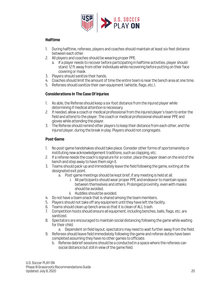

# **Halftime**

- 1. During halftime, referees, players and coaches should maintain at least six feet distance between each other.
- 2. All players and coaches should be wearing proper PPE.
	- a. If a player needs to recover before participating in halftime activities, player should stand 12 ft away from other individuals while recovering before putting on their face covering or mask.
- 3. Players should sanitize their hands.
- 4. Coaches should limit the amount of time the entire team is near the bench area at one time.
- 5. Referees should sanitize their own equipment (whistle, flags, etc.).

# **Considerations In The Case Of Injuries**

- 1. As able, the Referee should keep a six-foot distance from the injured player while determining if medical attention is necessary
- 2. If needed, allow a coach or medical professional from the injured player's team to enter the field and attend to the player. The coach or medical professional should wear PPE and gloves while attending the player.
- 3. The Referee should remind other players to keep their distance from each other, and the injured player, during the break in play. Players should not congregate.

# **Post-Game**

- 1. No post-game handshakes should take place. Consider other forms of sportsmanship or instituting new acknowledgement traditions, such as clapping, etc.
- 2. If a referee needs the coach's signature for a roster, place the paper down on the end of the bench and step away to have them sign it.
- 3. Teams should pack-up and immediately leave the field following the game, exiting at the designated exit point.
	- a. Post-game meetings should be kept brief, if any meeting is held at all.
		- i. All participants should wear proper PPE and endeavor to maintain space between themselves and others. Prolonged proximity, even with masks should be avoided.
		- ii. Huddles should be avoided.
- 4. Do not have a team snack that is shared among the team members.
- 5. Players should not take off any equipment until they have left the facility.
- 6. Teams should clean up bench area so that it is clean of ALL trash.
- 7. Competition hosts should ensure all equipment, including benches, balls, flags, etc. are sanitized.
- 8. Spectators are encouraged to maintain social distancing following the game while waiting for their child.
	- a. Dependent on field layout, spectators may need to wait further away from the field.
- 9. Referees should leave field immediately following the game and referee duties have been completed assuming they have no other games to officiate.
	- b. Referee debrief sessions should be a conducted in a space where the referees can social distance but still in view of the game field.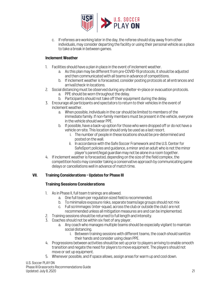

c. If referees are working later in the day, the referee should stay away from other individuals, may consider departing the facility or using their personal vehicle as a place to take a break in between games.

# **Inclement Weather**

- 1. Facilities should have a plan in place in the event of inclement weather.
	- a. As this plan may be different from pre-COVID-19 protocols, it should be adjusted and then communicated with all teams in advance of competitions.
	- b. If inclement weather is forecasted, consider posting protocols at all entrances and arrival/check-in locations.
- 2. Social distancing must be observed during any shelter-in-place or evacuation protocols.
	- a. PPE should be worn throughout the delay.
	- b. Participants should not take off their equipment during the delay.
- 3. Encourage all participants and spectators to return to their vehicles in the event of inclement weather.
	- a. When possible, individuals in the car should be limited to members of the immediate family. If non-family members must be present in the vehicle, everyone in the vehicle should wear PPE.
	- b. If possible, have a back-up option for those who were dropped off or do not have a vehicle on-site. This location should only be used as a last resort.
		- i. The number of people in these locations should be pre-determined and posted on the wall.
		- ii. In accordance with the Safe Soccer Framework and the U.S. Center for SafeSport policies and guidance, a minor and an adult who is not the minor player's parent/legal guardianmay not be alone in a room together.
- 4. If inclement weather is forecasted, depending on the size of the field complex, the competition hosts may consider taking a conservative approach by communicating game delays or cancellations well in advance of match time.

# **VII. Training Considerations – Updates for Phase III**

# **Training Sessions Considerations**

- 1. As in Phase II, full team trainings are allowed.
	- a. One full team per regulation sized field is recommended.
	- b. To minimalize exposure risks, separate teams/age groups should not mix
	- c. Full scrimmages (inter-squad, across the club or outside the club) are not recommended unless all mitigation measures are and can be implemented.
- 2. Training sessions should be returned to full length and intensity.
- 3. Coaches should not be within six feet of any player.
	- a. Any coach who manages multiple teams should be especially vigilant to maintain social distancing.
		- i. Between training sessions with different teams, the coach should sanitize their hands and consider using clean PPE.
- 4. Progressions between activities should be set up prior to players arriving to enable smooth transition and negate the need for players to move equipment. The players should not move or set up equipment.
- 5. Whenever possible, and if space allows, assign areas for warm up and cool down.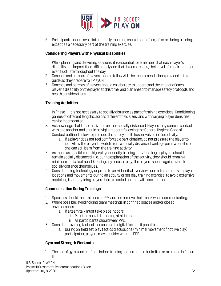

6. Participants should avoid intentionally touching each other before, after or during training, except as a necessary part of the training exercise.

# **Considering Players with Physical Disabilities**

- 1. While planning and delivering sessions, it is essential to remember that each player's disability can impact them differently and that, in some cases, their level of impairment can even fluctuate throughout the day.
- 2. Coaches and parents of players should follow ALL the recommendations provided in this guide as they prepare to #PlayON.
- 3. Coaches and parents of players should collaborate to understand the impact of each player's disability on the player at this time, and plan ahead to manage safety protocols and health considerations.

# **Training Activities**

- 1. In Phase III, it is not necessary to socially distance as part of training exercises. Conditioning games of different lengths, across different field sizes, and with varying player densities can be incorporated.
- 2. Acknowledge that these activities are not socially distanced. Players may come in contact with one another and should be vigilant about following the General Hygiene Code of Conduct outlined below to promote the safety of all those involved in the activity.
	- a. If a player does not feel comfortable participating, do not pressure the player to join. Allow the player to watch from a socially distanced vantage point where he or she can still learn from the training activity.
- 3. As much as possible until high-player density training activities begin, players should remain socially distanced. (i.e. during explanation of the activity, they should remain a minimum of six feet apart). During any break in play, the players should again revert to socially distance themselves.
- 4. Consider using technology or props to provide initial overviews or reinforcements of player locations and movements during an activity or set play training exercise, to avoid extensive modelling that may bring players into extended contact with one another.

# **Communication During Trainings**

- 1. Speakers should maintain use of PPE and not remove their mask when communicating.
- 2. Where possible, avoid holding team meetings in confined spaces and/or closed environments.
	- a. If a team talk must take place indoors:
		- i. Maintain social distancing at all times.
		- ii. All participants should wear PPE.
- 3. Consider providing tactical discussions in digital format, if possible.
	- a. During on-field set-play tactics discussions (minimal movement / not live play), participating players may consider wearing PPE.

# **Gym and Strength Workouts**

1. The use of gyms and confined indoor training spaces should be limited or excluded in Phase III.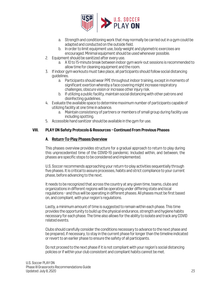

- a. Strength and conditioning work that may normally be carried out in a gym could be adapted and conducted on the outside field.
- b. In order to limit equipment use, body-weight and plyometric exercises are encouraged. Minimal equipment should be used whenever possible.
- 2. Equipment should be sanitized after every use.
	- a. A 10 to 15-minute break between indoor gym work-out sessions is recommended to allow time for cleaning equipment and the room.
- 3. If indoor gym workouts must take place, all participants should follow social distancing guidelines.
	- a. Participants should wear PPE throughout indoor training, except in moments of significant exertion whereby a face covering might increase respiratory challenges, obscure vision or increase other injury risk.
	- b. If utilizing a public facility, maintain social distancing with other patrons and disinfecting guidelines.
- 4. Evaluate the available space to determine maximum number of participants capable of utilizing facility at one time in advance.
	- a. Maintain consistency of partners or members of small group during facility use including spotting.
- 5. Accessible hand sanitizer should be available in the gym for use.

# **VIII. PLAY ON Safety Protocols & Resources – Continued From Previous Phases**

## **A. Return-To-Play Phases Overview**

This phases overview provides structure for a gradual approach to return to play during this unprecedented time of the COVID-19 pandemic. Included within, and between, the phases are specific steps to be considered and implemented.

U.S. Soccer recommends approaching your return-to-play activities sequentially through five phases. It is critical to assure processes, habits and strict compliance to your current phase, before advancing to the next.

It needs to be recognized that across the country at any given time, teams, clubs and organizations in different regions will be operating under differing state and local regulations – and thus will be operating in different phases. All phases must be first based on, and compliant, with your region's regulations.

Lastly, a minimum amount of time is suggested to remain within each phase. This time provides the opportunity to build up the physical endurance, strength and hygiene habits necessary for each phase. The time also allows for the ability to isolate and track any COVID related events.

Clubs should carefully consider the conditions necessary to advance to the next phase and be prepared, if necessary, to stay in the current phase for longer than the timeline indicated or revert to an earlier phase to ensure the safety of all participants.

Do not proceed to the next phase if it is not compliant with your region's social distancing policies or if within your club consistent and compliant habits cannot be met.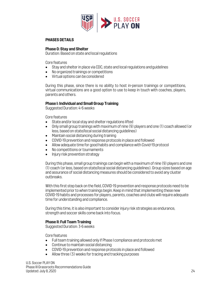

## **PHASES DETAILS**

#### **Phase 0: Stay and Shelter**

Duration: Based on state and local regulations

Core features

- Stay and shelter in place via CDC, state and local regulations andguidelines
- No organized trainings or competitions
- Virtual options can be considered

During this phase, since there is no ability to host in-person trainings or competitions, virtual communications are a good option to use to keep in touch with coaches, players, parents and others.

## **Phase I: Individual and Small Group Training**

Suggested Duration: 4-6 weeks

Core features

- State and/or local stay and shelter regulations lifted
- Only small group trainings with maximum of nine (9) players and one (1) coach allowed (or less, based on state/local social distancing guidelines)
- Maintain social distancing during training
- COVID-19 prevention and response protocols in place and followed
- Allow adequate time for good habits and compliance with Covid-19 protocol
- No competitions or tournaments
- Injury risk prevention strategy

During this phase, small group trainings can begin with a maximum of nine (9) players and one (1) coach (or less, based on state/local social distancing guidelines). Group sizes based on age and assurance of social distancing measures should be considered to avoid any cluster outbreaks.

With this first step back on the field, COVID-19 prevention and response protocols need to be implemented prior to when trainings begin. Keep in mind that implementing these new COVID-19 habits and processes for players, parents, coaches and clubs will require adequate time for understanding and compliance.

During this time, it is also important to consider injury risk strategies as endurance, strength and soccer skills come back into focus.

# **Phase II: Full Team Training**

Suggested Duration: 3-6 weeks

Core features

- Full team training allowed only if Phase I compliance and protocols met
- Continue to maintain social distancing
- COVID-19 prevention and response protocols in place and followed
- Allow three (3) weeks for tracing and tracking purposes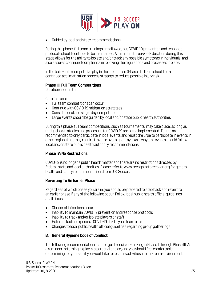

• Guided by local and state recommendations

During this phase, full team trainings are allowed, but COVID-19 prevention and response protocols should continue to be maintained. A minimum three-week duration during this stage allows for the ability to isolate and/or track any possible symptoms in individuals, and also assures continued compliance in following the regulations and processes inplace.

In the build-up to competitive play in the next phase (Phase III), there should be a continued acclimatization process strategy to reduce possible injury risk.

## **Phase III: Full Team Competitions**

Duration: Indefinite

Core features

- Full team competitions can occur
- Continue with COVID-19 mitigation strategies
- Consider local and single day competitions
- Large events should be guided by local and/or state public health authorities

During this phase, full team competitions, such as tournaments, may take place, as long as mitigation strategies and processes for COVID-19 are being implemented. Teams are recommended to only participate in local events and resist the urge to participate in events in other regions that may require travel or overnight stays. As always, all events should follow local and/or state public health authority recommendations.

#### **Phase IV: No Restrictions**

COVID-19 is no longer a public health matter and there are no restrictions directed by federal, state and local authorities. Please refer t[o www.recognizetorecover.org](http://www.recognizetorecover.org/) for general health and safety recommendations from U.S. Soccer.

#### **Reverting To An Earlier Phase**

Regardless of which phase you are in, you should be prepared to step back and revert to an earlier phase if any of the following occur. Follow local public health official guidelines at all times.

- Cluster of infections occur
- Inability to maintain COVID-19 prevention and response protocols
- Inability to track and/or isolate players or staff
- External factor exposes a COVID-19 risk to your team or club
- Changes to local public health official guidelines regarding group gatherings

# **B. General Hygiene Code of Conduct**

The following recommendations should guide decision-making in Phase 1 through Phase III. As a reminder, returning to play is a personal choice, and you should feel comfortable determining for yourself if you would like to resume activities in a full-team environment.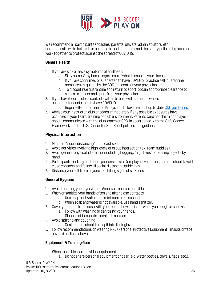

We recommend all participants (coaches, parents, players, administrators, etc.) communicate with their club or coaches to better understand the safety policies in place and work together to protect against the spread of COVID-19.

# **General Health**

- 1. If you are sick or have symptoms of an illness:
	- a. Stay home. Stay home regardless of what is causing yourillness.
	- b. If you are confirmed or suspected to have COVID-19, practice self-quarantine measures as guided by the CDC and contact your physician.
	- c. To discontinue quarantine and return to sport, obtain appropriate clearance to return to soccer and sport from your physician.
- 2. If you have been in close contact (within 6 feet) with someone who is suspected or confirmed to have COVID 19:
	- a. Begin self-quarantine for 14 days and follow the most up to dat[e CDC guidelines.](https://www.cdc.gov/coronavirus/2019-ncov/if-you-are-sick/steps-when-sick.html)
- 3. Advise your instructor, club or coach immediately if any possible exposures have occurred in your team, training or club environment. Parents (and not the minor player) should communicate with the club, coach or SRC, in accordance with the Safe Soccer Framework and the U.S. Center for SafeSport policies and guidance.

# **Physical Interaction**

- 1. Maintain "social distancing" of at least six feet.
- 2. Avoid activities involving high levels of group interaction (ex: team huddles).
- 3. Avoid general physical interaction including hugging, "high fives" or passing objects by hand.
- 4. Participants and any additional persons on site (employee, volunteer, parent) should avoid close contacts and follow all social-distancing guidelines.
- 5. Distance yourself from anyone exhibiting signs of sickness.

# **General Hygiene**

- 1. Avoid touching your eyes/mouth/nose as much as possible.
- 2. Wash or sanitize your hands often and after close contacts.
	- a. Use soap and water for a minimum of 20 seconds.
	- b. When soap and water is not available, use hand sanitizer.
- 3. Cover your mouth and nose with your bent elbow or tissue when you cough or sneeze.
	- a. Follow with washing or sanitizing your hands.
	- b. Dispose of tissues in a sealed trash can.
- 4. Avoid spitting and coughing.
	- a. Goalkeepers should not spit into their gloves.
- 5. Follow recommendations on wearing PPE (Personal Protective Equipment masks or face covers) outlined above.

# **Equipment & Training Gear**

- 1. Where possible, use individual equipment.
	- a. Do not share personal equipment or gear (e.g. water bottles, towels, flags, etc.).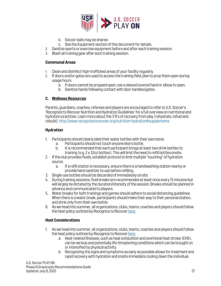

- b. Soccer balls may be shared.
- c. See the Equipment section of this document for details.
- 2. Sanitize sports or exercise equipment before and after each training session.
- 3. Wash all training gear after each training session.

## **Communal Areas**

- 1. Clean and disinfect high-trafficked areas of your facility regularly.
- 2. If doors and/or gates are used to access the training field, plan to prop them open during usage hours.
	- a. If doors cannot be propped open, use a sleeve/covered hand or elbow to open.
	- b. Sanitize hands following contact with door handles/gates.

# **C. Wellness Resources**

Parents, guardians, coaches, referees and players are encouraged to refer to U.S. Soccer's 'Recognize to Recover Nutrition and Hydration Guidelines' for a full overview on nutritional and hydration practices. Learn more about the 3 R's of recovery from play (rehydrate, refuel and rebuild)[. http://www.recognizetorecover.org/nutrition-hydration#supplements](http://www.recognizetorecover.org/nutrition-hydration#supplements)

# **Hydration**

- 1. Participants should clearly label their water bottleswith their ownname.
	- a. Participants should not touch anyone else's bottle.
	- b. It is recommended that each participant brings at least two drink bottles to training (e.g. 2 x 32oz bottles). This will limit the need to refill bottlesonsite.
- 2. If the club provides fluids, establish protocol to limit multiple "touching" of hydration source.
	- a. If a refill station is necessary, ensure there is a handwashing station nearby or provide hand sanitizer to use before refilling.
- 3. Single-use bottles should be discarded of immediately onsite
- 4. During training sessions, fluid breaks are recommended at least once every 15 minutes but will largely be dictated by the duration/intensity of the session. Breaks should be planned in advance and communicated to players.
- 5. Water breaks for both trainings and games should adhere to social distancing guidelines. When there is a water break, participants should make their way to their personal station, and drink only from their own bottle.
- 6. As we head into summer, all organizations, clubs, teams, coaches and players should follow the heat policy outlined by Recognize to Recover here.

# **Heat Considerations**

- 1. As we head into summer, all organizations, clubs, teams, coaches and players should follow the heat policy outlined by Recognize to Recover here.
	- a. Heat-related illnesses, such as heat exhaustion and exertional heat stroke (EHS), can be serious and potentially life-threatening conditions which can be brought on or intensified by physical activity.
	- b. Recognizing the signs and symptoms as early as possible allows for treatment and rapid recovery with hydration and onsite immediate cooling down the individual.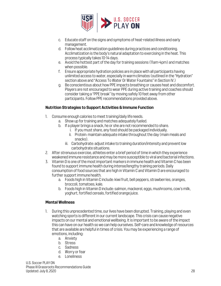

- c. Educate staff on the signs and symptoms of heat-related illness and early management.
- d. Followheat acclimatization guidelines during practices and conditioning. Acclimatization is the body's natural adaptation to exercising in the heat. This process typically takes 10-14 days.
- e. Avoid the hottest part of the day for training sessions (11am-4pm) and matches when possible.
- f. Ensure appropriate hydration policies are in place with all participants having unlimited access to water, especially in warmclimates (outlined in the "Hydration" section above and "Access To Water Or Water Fountains" in Section IV.)
- g. Be conscientious about how PPE impacts breathing or causes heat and discomfort. Players are not encouraged to wear PPE during active training and coaches should consider taking a "PPE break" by moving safely 10 feet away from other participants. Follow PPE recommendations provided above.

# **Nutrition Strategies to Support Activities & Immune Function**

- 1. Consume enough calories to meet training/daily lifeneeds.
	- a. Show up for training and matches adequately fueled.
	- b. If a player brings a snack, he or she are not recommended to share.
		- i. If you must share, any food should be packaged individually.
		- ii. Protein: maintain adequate intake throughout the day (main meals and snacks).
		- iii. Carbohydrate: adjust intake to training duration/intensity and prevent low carbohydrate situations.
- 2. After strenuous exercise, athletes enter a brief period of time in which they experience weakened immune resistance andmay bemore susceptible to viral and bacterial infections.
- 3. Vitamin D is one of the most important markers in immune health and Vitamin C has been found to support immune health during intense/lengthy training periods. Daily consumption of food sources that are high in Vitamin C and Vitamin D are encouraged to further support immune health.
	- a. Foods high in Vitamin C include: kiwi fruit, bell peppers, strawberries, oranges, broccoli,tomatoes, kale.
	- b. Foods high in Vitamin D include: salmon, mackerel, eggs, mushrooms, cow's milk, yoghurt, fortified cereals, fortified orange juice.

#### **Mental Wellness**

- 1. During this unprecedented time, our lives have been disrupted. Training, playing and even watching sports is different in our current landscape. This crisis can cause negative impacts on our mental and emotional wellbeing. It is important to be aware of the impact this can have on our health so we can help ourselves. Self-care and knowledge of resources that are available are helpful in times of crisis. You may be experiencing a range of emotions, including:
	- a. Anxiety
	- b. Stress
	- c. Sadness
	- d. Worry or fear
	- e. Loneliness